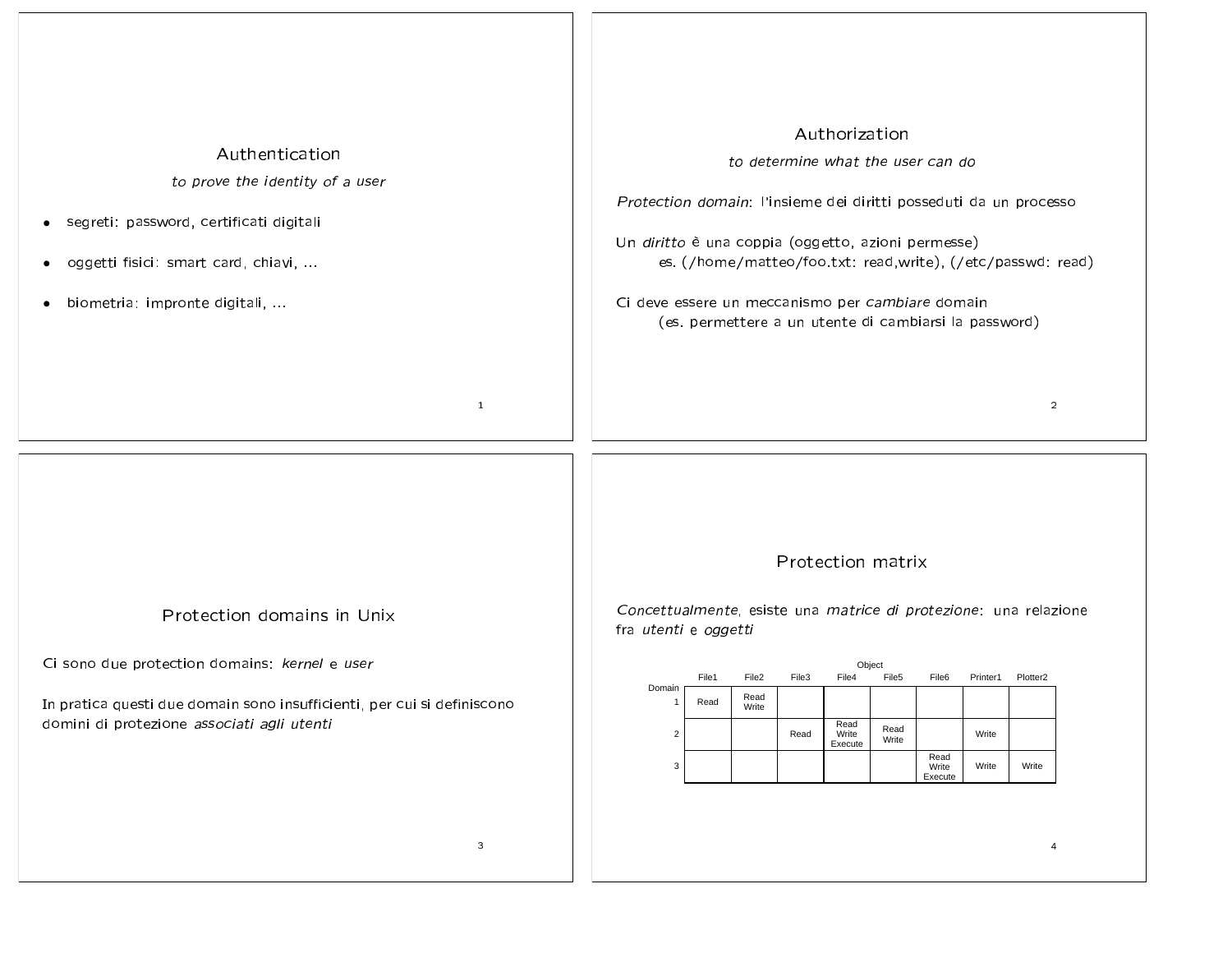| Authentication                                                                                                                                                                                                      | Authorization                                                                                                                                                                                                                                                                                                                                                                                      |
|---------------------------------------------------------------------------------------------------------------------------------------------------------------------------------------------------------------------|----------------------------------------------------------------------------------------------------------------------------------------------------------------------------------------------------------------------------------------------------------------------------------------------------------------------------------------------------------------------------------------------------|
| to prove the identity of a user                                                                                                                                                                                     | to determine what the user can do                                                                                                                                                                                                                                                                                                                                                                  |
| segreti: password, certificati digitali                                                                                                                                                                             | Protection domain: l'insieme dei diritti posseduti da un processo                                                                                                                                                                                                                                                                                                                                  |
| $\bullet$                                                                                                                                                                                                           | Un diritto è una coppia (oggetto, azioni permesse)                                                                                                                                                                                                                                                                                                                                                 |
| oggetti fisici: smart card, chiavi,                                                                                                                                                                                 | es. (/home/matteo/foo.txt: read,write), (/etc/passwd: read)                                                                                                                                                                                                                                                                                                                                        |
| ٠                                                                                                                                                                                                                   | Ci deve essere un meccanismo per cambiare domain                                                                                                                                                                                                                                                                                                                                                   |
| biometria: impronte digitali,                                                                                                                                                                                       | (es. permettere a un utente di cambiarsi la password)                                                                                                                                                                                                                                                                                                                                              |
| $\mathbf{1}$                                                                                                                                                                                                        | $\overline{2}$                                                                                                                                                                                                                                                                                                                                                                                     |
| Protection domains in Unix<br>Ci sono due protection domains: kernel e user<br>In pratica questi due domain sono insufficienti, per cui si definiscono<br>domini di protezione associati agli utenti<br>$\mathsf 3$ | Protection matrix<br>Concettualmente, esiste una matrice di protezione: una relazione<br>fra utenti e oggetti<br>Object<br>File3<br>File5<br>Plotter <sub>2</sub><br>File2<br>File4<br>File6<br>Printer1<br>File1<br>Domain<br>Read<br>Read<br>-1<br>Write<br>Read<br>Read<br>Write<br>$\overline{c}$<br>Read<br>Write<br>Write<br>Execute<br>Read<br>Write<br>Write<br>Write<br>3<br>Execute<br>4 |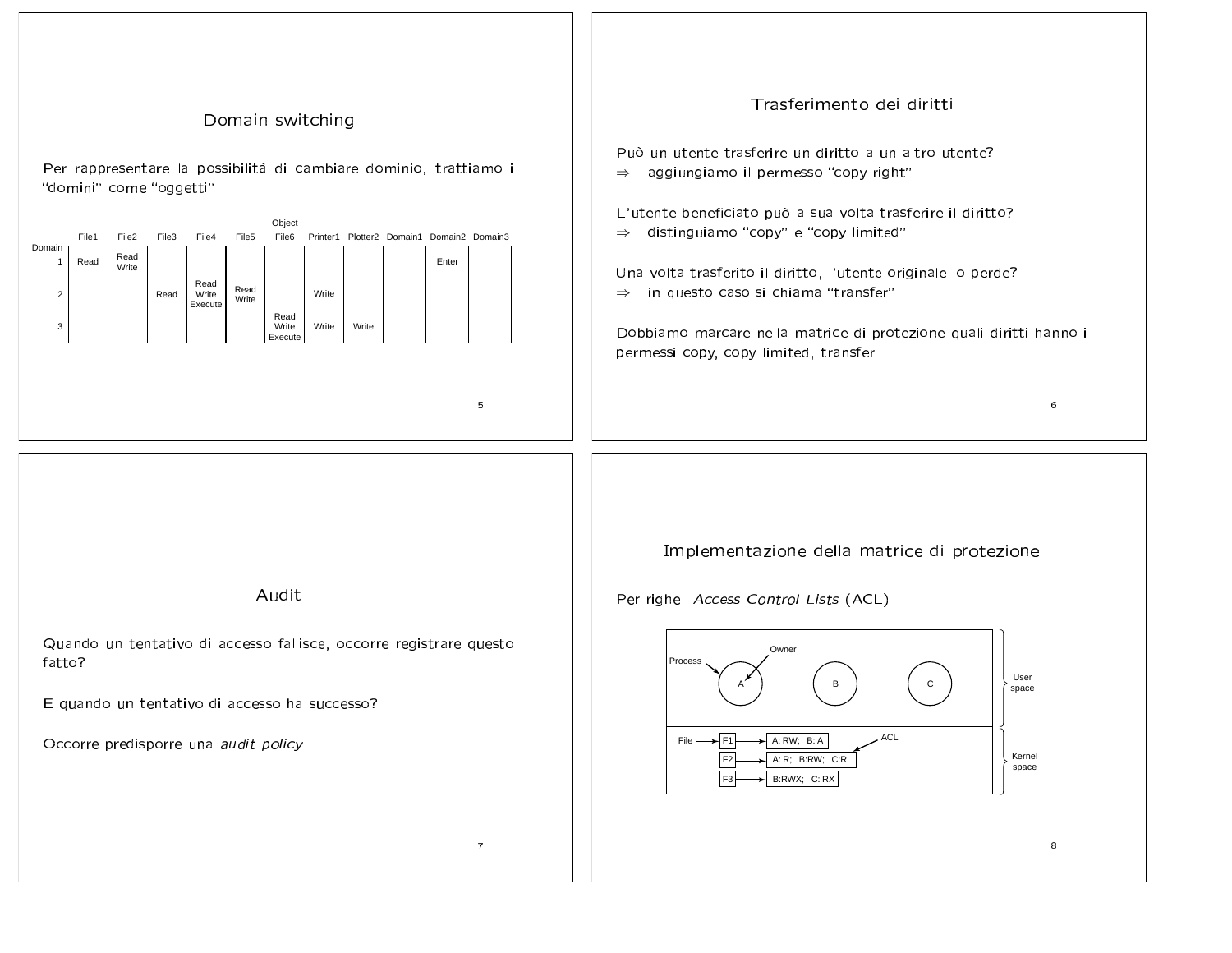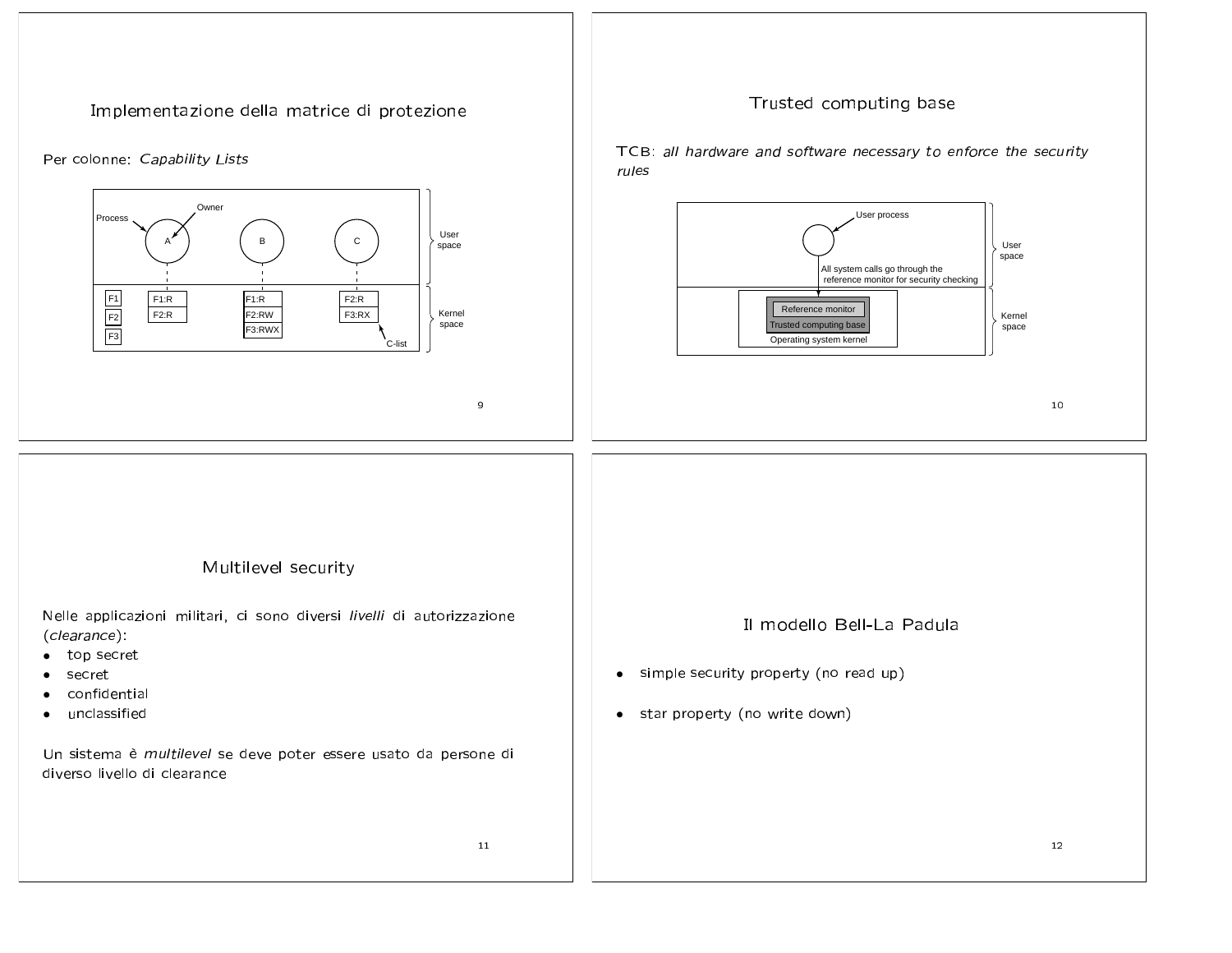Implementazione della matrice di protezione

## Per colonne: Capability Lists



## Trusted computing base

TCB: all hardware and software necessary to enforce the security rules



## Multilevel security

Nelle applicazioni militari, ci sono diversi livelli di autorizzazione (clearance):

- top secret  $\bullet$
- secret
- confidential
- unclassified

Un sistema è multilevel se deve poter essere usato da persone di diverso livello di clearance

11

- Il modello Bell-La Padula
- simple security property (no read up)  $\bullet$
- star property (no write down)  $\bullet$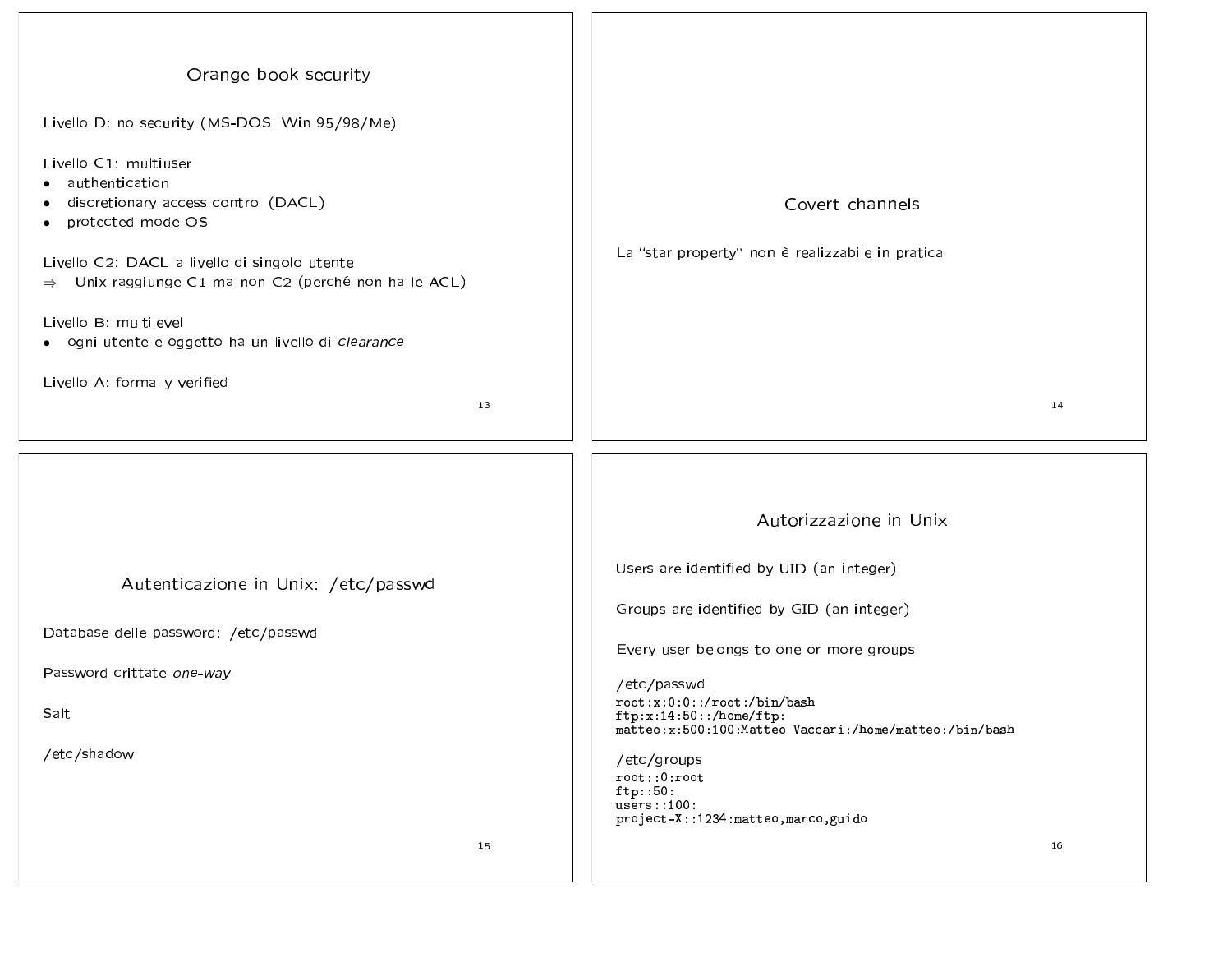| Orange book security<br>Livello D: no security (MS-DOS, Win 95/98/Me)<br>Livello C1: multiuser<br>authentication<br>discretionary access control (DACL)<br>protected mode OS<br>Livello C2: DACL a livello di singolo utente<br>$\Rightarrow$ Unix raggiunge C1 ma non C2 (perché non ha le ACL)<br>Livello B: multilevel<br>· ogni utente e oggetto ha un livello di clearance<br>Livello A: formally verified<br>13 | Covert channels<br>La "star property" non è realizzabile in pratica<br>14                                                                                                                                                                                                                                                                                                                            |
|-----------------------------------------------------------------------------------------------------------------------------------------------------------------------------------------------------------------------------------------------------------------------------------------------------------------------------------------------------------------------------------------------------------------------|------------------------------------------------------------------------------------------------------------------------------------------------------------------------------------------------------------------------------------------------------------------------------------------------------------------------------------------------------------------------------------------------------|
| Autenticazione in Unix: /etc/passwd<br>Database delle password: /etc/passwd<br>Password crittate one-way<br>Salt<br>/etc/shadow<br>15                                                                                                                                                                                                                                                                                 | Autorizzazione in Unix<br>Users are identified by UID (an integer)<br>Groups are identified by GID (an integer)<br>Every user belongs to one or more groups<br>/etc/passwd<br>root:x:0:0::/root:/bin/bash<br>ftp:x:14:50::/home/ftp:<br>matteo:x:500:100:Matteo Vaccari:/home/matteo:/bin/bash<br>/etc/groups<br>root::0:root<br>ftp::50:<br>users::100:<br>project-X::1234:matteo,marco,guido<br>16 |

 $\overline{\phantom{0}}$  $\sim$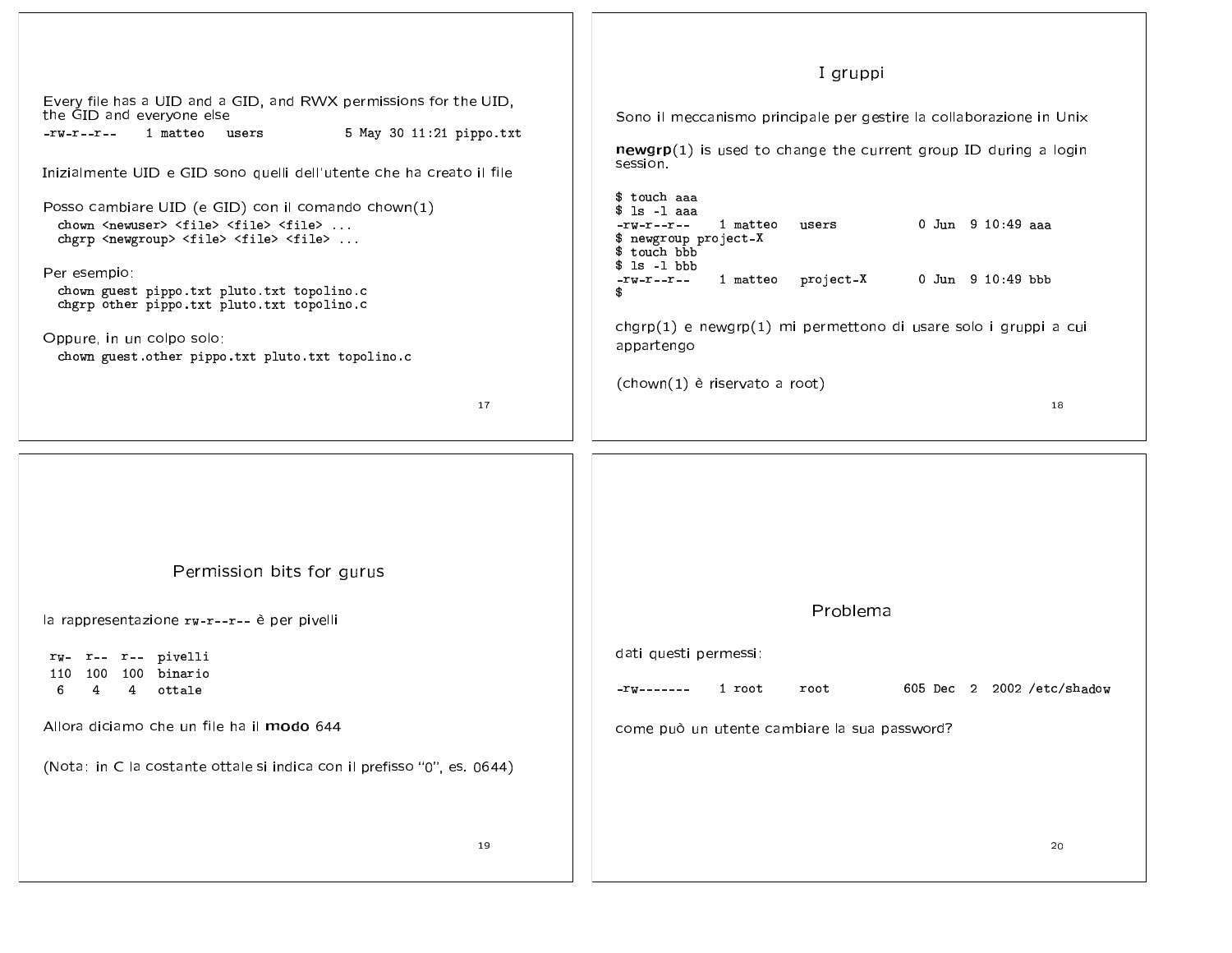| Every file has a UID and a GID, and RWX permissions for the UID,<br>the GID and everyone else<br>5 May 30 11:21 pippo.txt<br>1 matteo users<br>$-rw-r-r-$<br>Inizialmente UID e GID sono quelli dell'utente che ha creato il file<br>Posso cambiare UID (e GID) con il comando chown(1)<br>chown <newuser> <file> <file> <file> <br/>chgrp <newgroup> <file> <file> <file> <br/>Per esempio:<br/>chown guest pippo.txt pluto.txt topolino.c</file></file></file></newgroup></file></file></file></newuser> | I gruppi<br>Sono il meccanismo principale per gestire la collaborazione in Unix<br>$newgrp(1)$ is used to change the current group ID during a login<br>session.<br>\$ touch aaa<br>$$ 1s -1$ aaa<br>0 Jun 9 10:49 aaa<br>$-\mathbf{rw}-\mathbf{r}-\mathbf{r}-$<br>1 matteo<br>users<br>\$ newgroup project-X<br>\$ touch bbb<br>$s$ 1s -1 bbb<br>1 matteo project-X<br>0 Jun 9 10:49 bbb<br>$-\mathbf{r}$ w $-\mathbf{r}$ -- $\mathbf{r}$ --<br>Ω |
|------------------------------------------------------------------------------------------------------------------------------------------------------------------------------------------------------------------------------------------------------------------------------------------------------------------------------------------------------------------------------------------------------------------------------------------------------------------------------------------------------------|----------------------------------------------------------------------------------------------------------------------------------------------------------------------------------------------------------------------------------------------------------------------------------------------------------------------------------------------------------------------------------------------------------------------------------------------------|
| chgrp other pippo.txt pluto.txt topolino.c<br>Oppure, in un colpo solo:                                                                                                                                                                                                                                                                                                                                                                                                                                    | chgrp(1) e newgrp(1) mi permettono di usare solo i gruppi a cui<br>appartengo                                                                                                                                                                                                                                                                                                                                                                      |
| chown guest.other pippo.txt pluto.txt topolino.c<br>17                                                                                                                                                                                                                                                                                                                                                                                                                                                     | (chown(1) è riservato a root)<br>18                                                                                                                                                                                                                                                                                                                                                                                                                |
| Permission bits for gurus                                                                                                                                                                                                                                                                                                                                                                                                                                                                                  |                                                                                                                                                                                                                                                                                                                                                                                                                                                    |
| la rappresentazione rw-r--r-- è per pivelli                                                                                                                                                                                                                                                                                                                                                                                                                                                                | Problema                                                                                                                                                                                                                                                                                                                                                                                                                                           |
| rw- r-- r-- pivelli<br>100 100 binario<br>110<br>6<br>4<br>4<br>ottale                                                                                                                                                                                                                                                                                                                                                                                                                                     | dati questi permessi:<br>605 Dec 2 2002 /etc/shadow<br>1 root<br>root                                                                                                                                                                                                                                                                                                                                                                              |
| Allora diciamo che un file ha il modo 644                                                                                                                                                                                                                                                                                                                                                                                                                                                                  | come può un utente cambiare la sua password?                                                                                                                                                                                                                                                                                                                                                                                                       |
| (Nota: in C la costante ottale si indica con il prefisso "0", es. 0644)                                                                                                                                                                                                                                                                                                                                                                                                                                    |                                                                                                                                                                                                                                                                                                                                                                                                                                                    |
| 19                                                                                                                                                                                                                                                                                                                                                                                                                                                                                                         | 20                                                                                                                                                                                                                                                                                                                                                                                                                                                 |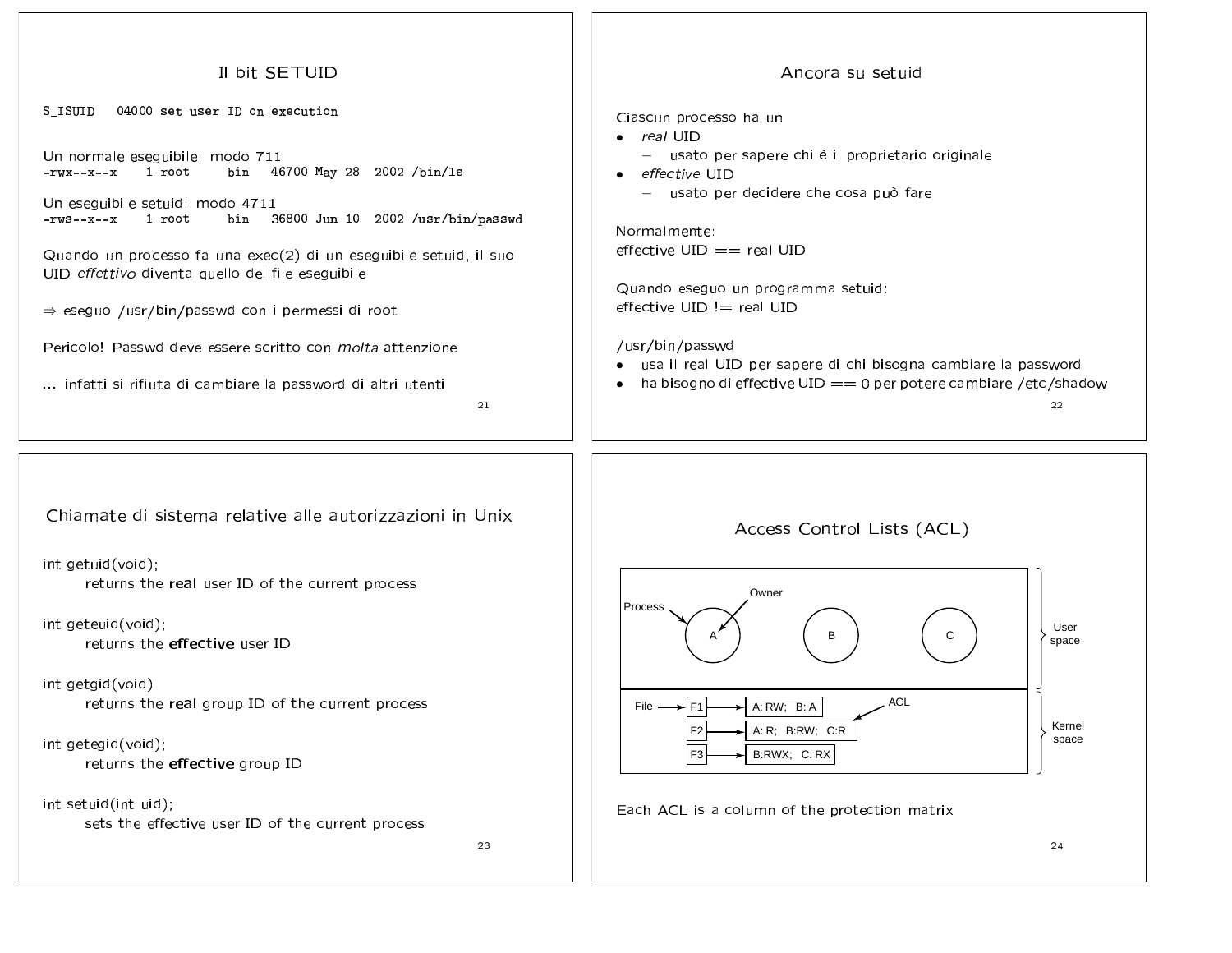